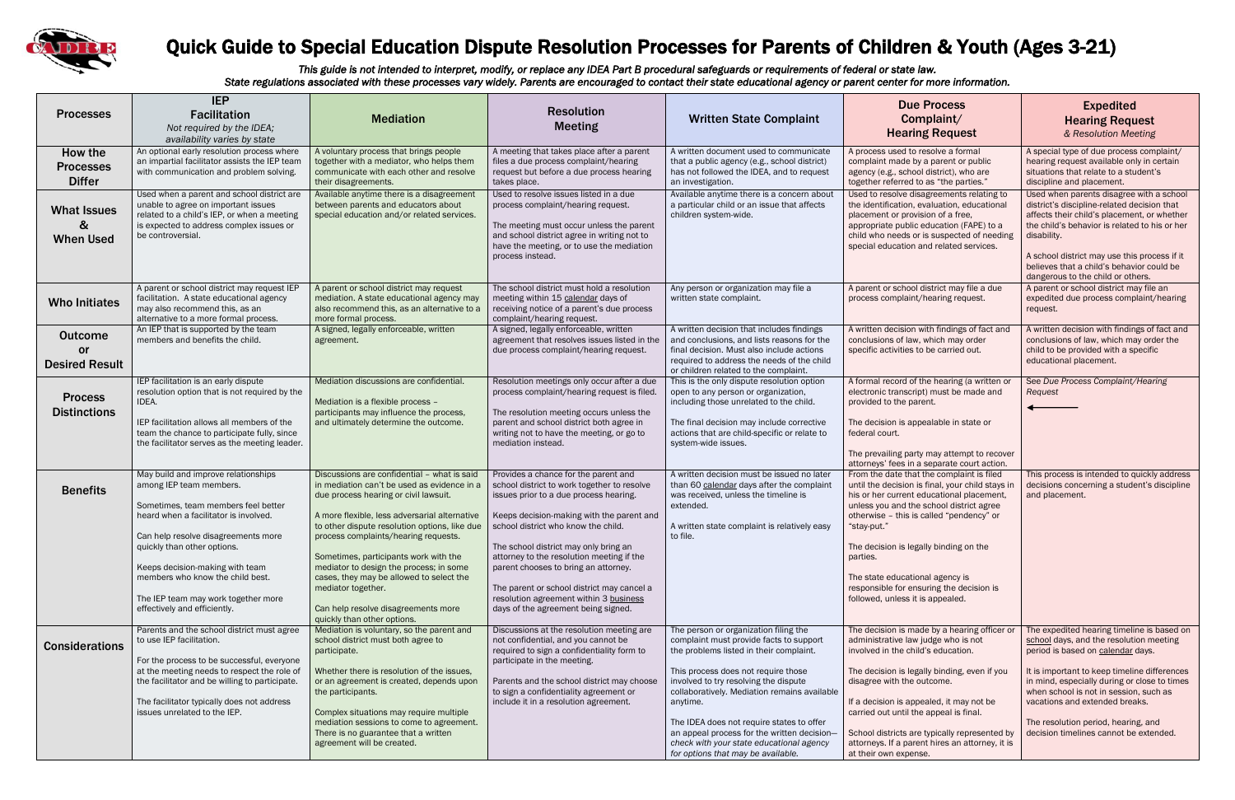

## Quick Guide to Special Education Dispute Resolution Processes for Parents of Children & Youth (Ages 3-21)

*This guide is not intended to interpret, modify, or replace any IDEA Part B procedural safeguards or requirements of federal or state law. State regulations associated with these processes vary widely. Parents are encouraged to contact their state educational agency or parent center for more information.*

| <b>Due Process</b><br>Complaint/<br><b>Hearing Request</b>                                                                                                                                                                                                                                  | <b>Expedited</b><br><b>Hearing Request</b><br>& Resolution Meeting                                                                                                                                                                                                                                                                       |  |  |
|---------------------------------------------------------------------------------------------------------------------------------------------------------------------------------------------------------------------------------------------------------------------------------------------|------------------------------------------------------------------------------------------------------------------------------------------------------------------------------------------------------------------------------------------------------------------------------------------------------------------------------------------|--|--|
| A process used to resolve a formal<br>complaint made by a parent or public<br>agency (e.g., school district), who are<br>together referred to as "the parties."                                                                                                                             | A special type of due process complaint/<br>hearing request available only in certain<br>situations that relate to a student's<br>discipline and placement.                                                                                                                                                                              |  |  |
| Used to resolve disagreements relating to<br>the identification, evaluation, educational<br>placement or provision of a free,<br>appropriate public education (FAPE) to a<br>child who needs or is suspected of needing<br>special education and related services.                          | Used when parents disagree with a school<br>district's discipline-related decision that<br>affects their child's placement, or whether<br>the child's behavior is related to his or her<br>disability.<br>A school district may use this process if it<br>believes that a child's behavior could be<br>dangerous to the child or others. |  |  |
| A parent or school district may file a due<br>process complaint/hearing request.                                                                                                                                                                                                            | A parent or school district may file an<br>expedited due process complaint/hearing<br>request.                                                                                                                                                                                                                                           |  |  |
| A written decision with findings of fact and<br>conclusions of law, which may order<br>specific activities to be carried out.                                                                                                                                                               | A written decision with findings of fact and<br>conclusions of law, which may order the<br>child to be provided with a specific<br>educational placement.                                                                                                                                                                                |  |  |
| A formal record of the hearing (a written or<br>electronic transcript) must be made and<br>provided to the parent.<br>The decision is appealable in state or<br>federal court.<br>The prevailing party may attempt to recover<br>attorneys' fees in a separate court action.                | See Due Process Complaint/Hearing<br>Request                                                                                                                                                                                                                                                                                             |  |  |
| From the date that the complaint is filed<br>until the decision is final, your child stays in<br>his or her current educational placement,<br>unless you and the school district agree<br>otherwise - this is called "pendency" or<br>"stay-put."<br>The decision is legally binding on the | This process is intended to quickly address<br>decisions concerning a student's discipline<br>and placement.                                                                                                                                                                                                                             |  |  |
| parties.<br>The state educational agency is<br>responsible for ensuring the decision is<br>followed, unless it is appealed.                                                                                                                                                                 |                                                                                                                                                                                                                                                                                                                                          |  |  |
| The decision is made by a hearing officer or<br>administrative law judge who is not<br>involved in the child's education.                                                                                                                                                                   | The expedited hearing timeline is based on<br>school days, and the resolution meeting<br>period is based on calendar days.                                                                                                                                                                                                               |  |  |
| The decision is legally binding, even if you<br>disagree with the outcome.<br>If a decision is appealed, it may not be<br>carried out until the appeal is final.                                                                                                                            | It is important to keep timeline differences<br>in mind, especially during or close to times<br>when school is not in session, such as<br>vacations and extended breaks.<br>The resolution period, hearing, and                                                                                                                          |  |  |
| School districts are typically represented by<br>attorneys. If a parent hires an attorney, it is<br>at their own expense.                                                                                                                                                                   | decision timelines cannot be extended.                                                                                                                                                                                                                                                                                                   |  |  |

| <b>Processes</b>                                     | <b>IEP</b>                                                                                                                                                                                                                                                                                                                                                         |                                                                                                                                                                                                                                                                                                                                                                                                                                                                                                           | <b>Resolution</b>                                                                                                                                                                                                                                                                                                                                                                                                                                                              |                                                                                                                                                                                                                                                                                                                                                                                                                                                       | <b>Due Process</b>                                                                                                                                                                                                                                                                                                                                  |
|------------------------------------------------------|--------------------------------------------------------------------------------------------------------------------------------------------------------------------------------------------------------------------------------------------------------------------------------------------------------------------------------------------------------------------|-----------------------------------------------------------------------------------------------------------------------------------------------------------------------------------------------------------------------------------------------------------------------------------------------------------------------------------------------------------------------------------------------------------------------------------------------------------------------------------------------------------|--------------------------------------------------------------------------------------------------------------------------------------------------------------------------------------------------------------------------------------------------------------------------------------------------------------------------------------------------------------------------------------------------------------------------------------------------------------------------------|-------------------------------------------------------------------------------------------------------------------------------------------------------------------------------------------------------------------------------------------------------------------------------------------------------------------------------------------------------------------------------------------------------------------------------------------------------|-----------------------------------------------------------------------------------------------------------------------------------------------------------------------------------------------------------------------------------------------------------------------------------------------------------------------------------------------------|
|                                                      | <b>Facilitation</b><br>Not required by the IDEA;<br>availability varies by state                                                                                                                                                                                                                                                                                   | <b>Mediation</b>                                                                                                                                                                                                                                                                                                                                                                                                                                                                                          | <b>Meeting</b>                                                                                                                                                                                                                                                                                                                                                                                                                                                                 | <b>Written State Complaint</b>                                                                                                                                                                                                                                                                                                                                                                                                                        | Complaint/<br><b>Hearing Reque</b>                                                                                                                                                                                                                                                                                                                  |
| How the<br><b>Processes</b><br><b>Differ</b>         | An optional early resolution process where<br>an impartial facilitator assists the IEP team<br>with communication and problem solving.                                                                                                                                                                                                                             | A voluntary process that brings people<br>together with a mediator, who helps them<br>communicate with each other and resolve<br>their disagreements.                                                                                                                                                                                                                                                                                                                                                     | A meeting that takes place after a parent<br>files a due process complaint/hearing<br>request but before a due process hearing<br>takes place.                                                                                                                                                                                                                                                                                                                                 | A written document used to communicate<br>that a public agency (e.g., school district)<br>has not followed the IDEA, and to request<br>an investigation.                                                                                                                                                                                                                                                                                              | A process used to resolve a for<br>complaint made by a parent or<br>agency (e.g., school district), w<br>together referred to as "the pa                                                                                                                                                                                                            |
| <b>What Issues</b><br>&<br><b>When Used</b>          | Used when a parent and school district are<br>unable to agree on important issues<br>related to a child's IEP, or when a meeting<br>is expected to address complex issues or<br>be controversial.                                                                                                                                                                  | Available anytime there is a disagreement<br>between parents and educators about<br>special education and/or related services.                                                                                                                                                                                                                                                                                                                                                                            | Used to resolve issues listed in a due<br>process complaint/hearing request.<br>The meeting must occur unless the parent<br>and school district agree in writing not to<br>have the meeting, or to use the mediation<br>process instead.                                                                                                                                                                                                                                       | Available anytime there is a concern about<br>a particular child or an issue that affects<br>children system-wide.                                                                                                                                                                                                                                                                                                                                    | Used to resolve disagreements<br>the identification, evaluation, e<br>placement or provision of a fre<br>appropriate public education (I<br>child who needs or is suspecte<br>special education and related :                                                                                                                                       |
| <b>Who Initiates</b>                                 | A parent or school district may request IEP<br>facilitation. A state educational agency<br>may also recommend this, as an<br>alternative to a more formal process.                                                                                                                                                                                                 | A parent or school district may request<br>mediation. A state educational agency may<br>also recommend this, as an alternative to a<br>more formal process.                                                                                                                                                                                                                                                                                                                                               | The school district must hold a resolution<br>meeting within 15 calendar days of<br>receiving notice of a parent's due process<br>complaint/hearing request.                                                                                                                                                                                                                                                                                                                   | Any person or organization may file a<br>written state complaint.                                                                                                                                                                                                                                                                                                                                                                                     | A parent or school district may<br>process complaint/hearing rec                                                                                                                                                                                                                                                                                    |
| <b>Outcome</b><br><u>or</u><br><b>Desired Result</b> | An IEP that is supported by the team<br>members and benefits the child.                                                                                                                                                                                                                                                                                            | A signed, legally enforceable, written<br>agreement.                                                                                                                                                                                                                                                                                                                                                                                                                                                      | A signed, legally enforceable, written<br>agreement that resolves issues listed in the<br>due process complaint/hearing request.                                                                                                                                                                                                                                                                                                                                               | A written decision that includes findings<br>and conclusions, and lists reasons for the<br>final decision. Must also include actions<br>required to address the needs of the child<br>or children related to the complaint.                                                                                                                                                                                                                           | A written decision with findings<br>conclusions of law, which may<br>specific activities to be carried                                                                                                                                                                                                                                              |
| <b>Process</b><br><b>Distinctions</b>                | IEP facilitation is an early dispute<br>resolution option that is not required by the<br>IDEA.<br>IEP facilitation allows all members of the<br>team the chance to participate fully, since<br>the facilitator serves as the meeting leader.                                                                                                                       | Mediation discussions are confidential.<br>Mediation is a flexible process -<br>participants may influence the process,<br>and ultimately determine the outcome.                                                                                                                                                                                                                                                                                                                                          | Resolution meetings only occur after a due<br>process complaint/hearing request is filed.<br>The resolution meeting occurs unless the<br>parent and school district both agree in<br>writing not to have the meeting, or go to<br>mediation instead.                                                                                                                                                                                                                           | This is the only dispute resolution option<br>open to any person or organization,<br>including those unrelated to the child.<br>The final decision may include corrective<br>actions that are child-specific or relate to<br>system-wide issues.                                                                                                                                                                                                      | A formal record of the hearing<br>electronic transcript) must be r<br>provided to the parent.<br>The decision is appealable in s<br>federal court.<br>The prevailing party may attem<br>attorneys' fees in a separate co                                                                                                                            |
| <b>Benefits</b>                                      | May build and improve relationships<br>among IEP team members.<br>Sometimes, team members feel better<br>heard when a facilitator is involved.<br>Can help resolve disagreements more<br>quickly than other options.<br>Keeps decision-making with team<br>members who know the child best.<br>The IEP team may work together more<br>effectively and efficiently. | Discussions are confidential - what is said<br>in mediation can't be used as evidence in a<br>due process hearing or civil lawsuit.<br>A more flexible, less adversarial alternative<br>to other dispute resolution options, like due<br>process complaints/hearing requests.<br>Sometimes, participants work with the<br>mediator to design the process; in some<br>cases, they may be allowed to select the<br>mediator together.<br>Can help resolve disagreements more<br>quickly than other options. | Provides a chance for the parent and<br>school district to work together to resolve<br>issues prior to a due process hearing.<br>Keeps decision-making with the parent and<br>school district who know the child.<br>The school district may only bring an<br>attorney to the resolution meeting if the<br>parent chooses to bring an attorney.<br>The parent or school district may cancel a<br>resolution agreement within 3 business<br>days of the agreement being signed. | A written decision must be issued no later<br>than 60 calendar days after the complaint<br>was received, unless the timeline is<br>extended.<br>A written state complaint is relatively easy<br>to file.                                                                                                                                                                                                                                              | From the date that the compla<br>until the decision is final, your<br>his or her current educational<br>unless you and the school dist<br>otherwise - this is called "pend<br>"stay-put."<br>The decision is legally binding<br>parties.<br>The state educational agency i<br>responsible for ensuring the de<br>followed, unless it is appealed.   |
| <b>Considerations</b>                                | Parents and the school district must agree<br>to use IEP facilitation.<br>For the process to be successful, everyone<br>at the meeting needs to respect the role of<br>the facilitator and be willing to participate.<br>The facilitator typically does not address<br>issues unrelated to the IEP.                                                                | Mediation is voluntary, so the parent and<br>school district must both agree to<br>participate.<br>Whether there is resolution of the issues,<br>or an agreement is created, depends upon<br>the participants.<br>Complex situations may require multiple<br>mediation sessions to come to agreement.<br>There is no guarantee that a written<br>agreement will be created.                                                                                                                               | Discussions at the resolution meeting are<br>not confidential, and you cannot be<br>required to sign a confidentiality form to<br>participate in the meeting.<br>Parents and the school district may choose<br>to sign a confidentiality agreement or<br>include it in a resolution agreement.                                                                                                                                                                                 | The person or organization filing the<br>complaint must provide facts to support<br>the problems listed in their complaint.<br>This process does not require those<br>involved to try resolving the dispute<br>collaboratively. Mediation remains available<br>anytime.<br>The IDEA does not require states to offer<br>an appeal process for the written decision-<br>check with your state educational agency<br>for options that may be available. | The decision is made by a hear<br>administrative law judge who is<br>involved in the child's educatio<br>The decision is legally binding,<br>disagree with the outcome.<br>If a decision is appealed, it ma<br>carried out until the appeal is f<br>School districts are typically re<br>attorneys. If a parent hires an a<br>at their own expense. |